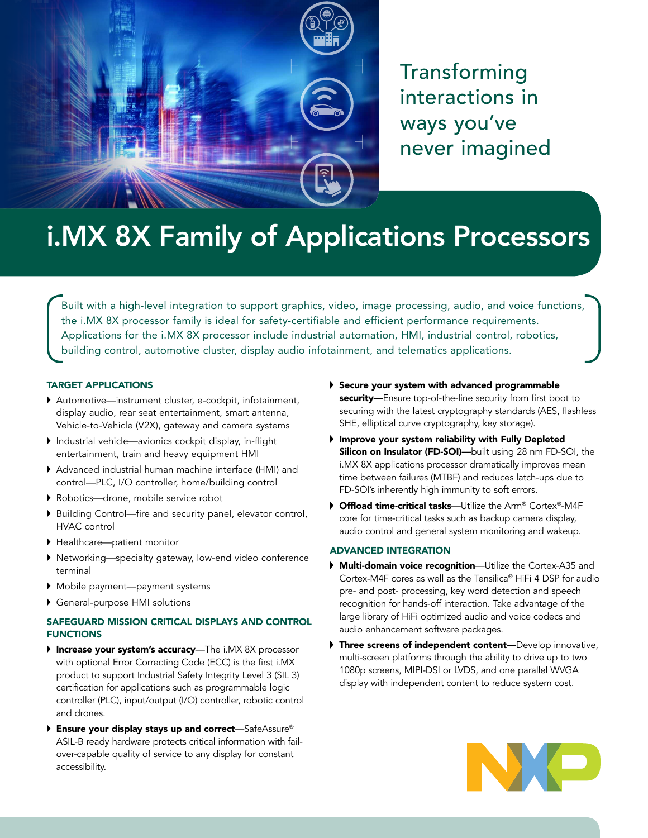

Transforming interactions in ways you've never imagined

# i.MX 8X Family of Applications Processors

Built with a high-level integration to support graphics, video, image processing, audio, and voice functions, the i.MX 8X processor family is ideal for safety-certifiable and efficient performance requirements. Applications for the i.MX 8X processor include industrial automation, HMI, industrial control, robotics, building control, automotive cluster, display audio infotainment, and telematics applications.

## TARGET APPLICATIONS

- Automotive—instrument cluster, e-cockpit, infotainment, display audio, rear seat entertainment, smart antenna, Vehicle-to-Vehicle (V2X), gateway and camera systems
- Industrial vehicle—avionics cockpit display, in-flight entertainment, train and heavy equipment HMI
- Advanced industrial human machine interface (HMI) and control—PLC, I/O controller, home/building control
- Robotics—drone, mobile service robot
- Building Control—fire and security panel, elevator control, HVAC control
- Healthcare—patient monitor
- Networking—specialty gateway, low-end video conference terminal
- Mobile payment—payment systems
- General-purpose HMI solutions

# SAFEGUARD MISSION CRITICAL DISPLAYS AND CONTROL **FUNCTIONS**

- Increase your system's accuracy-The i.MX 8X processor with optional Error Correcting Code (ECC) is the first i.MX product to support Industrial Safety Integrity Level 3 (SIL 3) certification for applications such as programmable logic controller (PLC), input/output (I/O) controller, robotic control and drones.
- ▶ Ensure your display stays up and correct—SafeAssure® ASIL-B ready hardware protects critical information with failover-capable quality of service to any display for constant accessibility.
- Secure your system with advanced programmable security-Ensure top-of-the-line security from first boot to securing with the latest cryptography standards (AES, flashless SHE, elliptical curve cryptography, key storage).
- Improve your system reliability with Fully Depleted Silicon on Insulator (FD-SOI)-built using 28 nm FD-SOI, the i.MX 8X applications processor dramatically improves mean time between failures (MTBF) and reduces latch-ups due to FD-SOI's inherently high immunity to soft errors.
- ▶ Offload time-critical tasks—Utilize the Arm® Cortex®-M4F core for time-critical tasks such as backup camera display, audio control and general system monitoring and wakeup.

# ADVANCED INTEGRATION

- **Multi-domain voice recognition**—Utilize the Cortex-A35 and Cortex-M4F cores as well as the Tensilica® HiFi 4 DSP for audio pre- and post- processing, key word detection and speech recognition for hands-off interaction. Take advantage of the large library of HiFi optimized audio and voice codecs and audio enhancement software packages.
- Three screens of independent content-Develop innovative, multi-screen platforms through the ability to drive up to two 1080p screens, MIPI-DSI or LVDS, and one parallel WVGA display with independent content to reduce system cost.